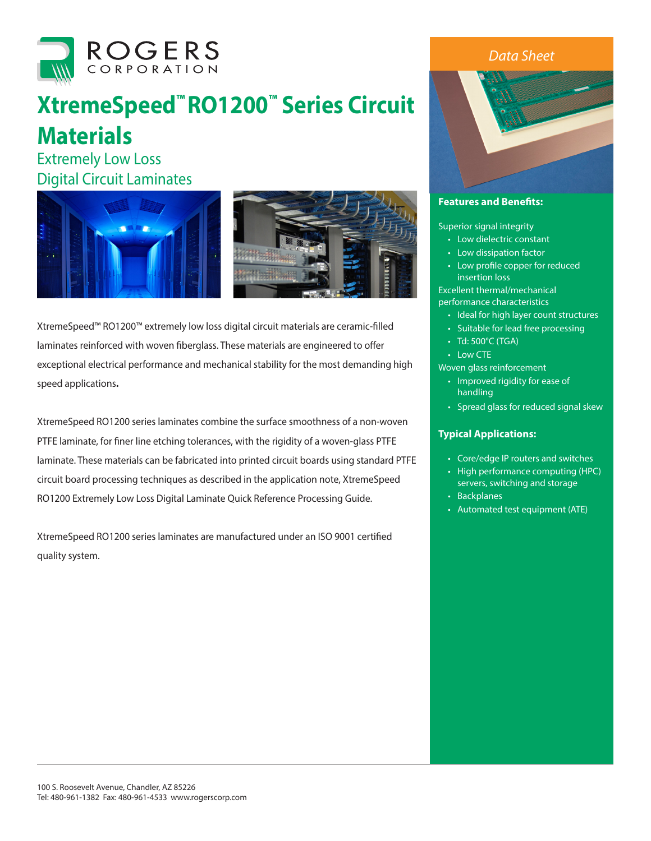

## **XtremeSpeed™ RO1200™ Series Circuit Materials**

Extremely Low Loss Digital Circuit Laminates



XtremeSpeed™ RO1200™ extremely low loss digital circuit materials are ceramic-filled laminates reinforced with woven fiberglass. These materials are engineered to offer exceptional electrical performance and mechanical stability for the most demanding high speed applications**.** 

XtremeSpeed RO1200 series laminates combine the surface smoothness of a non-woven PTFE laminate, for finer line etching tolerances, with the rigidity of a woven-glass PTFE laminate. These materials can be fabricated into printed circuit boards using standard PTFE circuit board processing techniques as described in the application note, XtremeSpeed RO1200 Extremely Low Loss Digital Laminate Quick Reference Processing Guide.

XtremeSpeed RO1200 series laminates are manufactured under an ISO 9001 certified quality system.

## *Data Sheet*



## **Features and Benefits:**

Superior signal integrity

- Low dielectric constant
- Low dissipation factor
- Low profile copper for reduced insertion loss

Excellent thermal/mechanical performance characteristics

- Ideal for high layer count structures
- Suitable for lead free processing
- Td: 500°C (TGA)
- Low CTE

Woven glass reinforcement

- Improved rigidity for ease of handling
- Spread glass for reduced signal skew

## **Typical Applications:**

- Core/edge IP routers and switches
- High performance computing (HPC) servers, switching and storage
- Backplanes
- Automated test equipment (ATE)